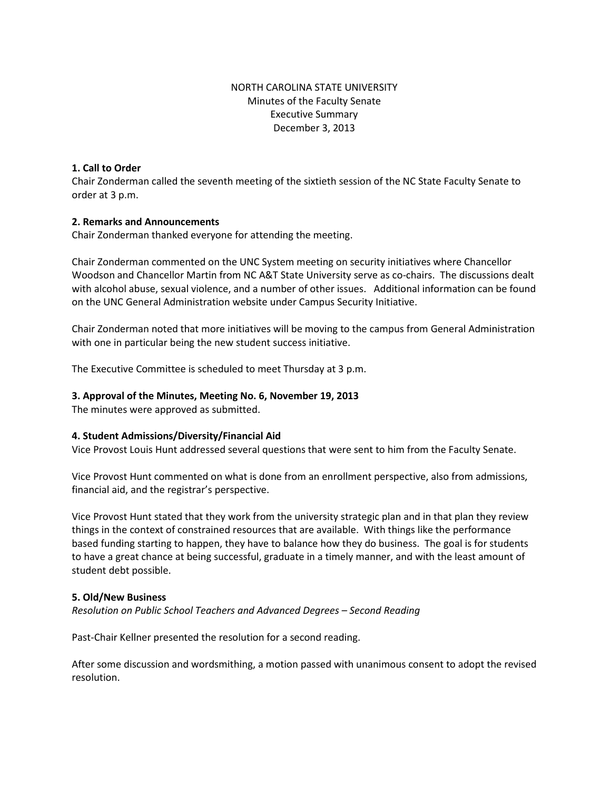# NORTH CAROLINA STATE UNIVERSITY Minutes of the Faculty Senate Executive Summary December 3, 2013

# **1. Call to Order**

Chair Zonderman called the seventh meeting of the sixtieth session of the NC State Faculty Senate to order at 3 p.m.

### **2. Remarks and Announcements**

Chair Zonderman thanked everyone for attending the meeting.

Chair Zonderman commented on the UNC System meeting on security initiatives where Chancellor Woodson and Chancellor Martin from NC A&T State University serve as co-chairs. The discussions dealt with alcohol abuse, sexual violence, and a number of other issues. Additional information can be found on the UNC General Administration website under Campus Security Initiative.

Chair Zonderman noted that more initiatives will be moving to the campus from General Administration with one in particular being the new student success initiative.

The Executive Committee is scheduled to meet Thursday at 3 p.m.

# **3. Approval of the Minutes, Meeting No. 6, November 19, 2013**

The minutes were approved as submitted.

# **4. Student Admissions/Diversity/Financial Aid**

Vice Provost Louis Hunt addressed several questions that were sent to him from the Faculty Senate.

Vice Provost Hunt commented on what is done from an enrollment perspective, also from admissions, financial aid, and the registrar's perspective.

Vice Provost Hunt stated that they work from the university strategic plan and in that plan they review things in the context of constrained resources that are available. With things like the performance based funding starting to happen, they have to balance how they do business. The goal is for students to have a great chance at being successful, graduate in a timely manner, and with the least amount of student debt possible.

### **5. Old/New Business**

*Resolution on Public School Teachers and Advanced Degrees – Second Reading*

Past-Chair Kellner presented the resolution for a second reading.

After some discussion and wordsmithing, a motion passed with unanimous consent to adopt the revised resolution.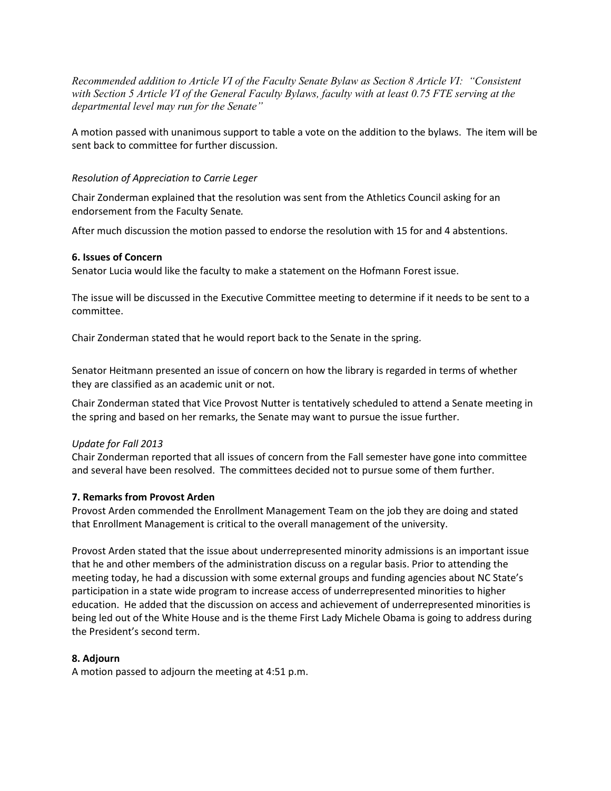*Recommended addition to Article VI of the Faculty Senate Bylaw as Section 8 Article VI: "Consistent with Section 5 Article VI of the General Faculty Bylaws, faculty with at least 0.75 FTE serving at the departmental level may run for the Senate"* 

A motion passed with unanimous support to table a vote on the addition to the bylaws. The item will be sent back to committee for further discussion.

### *Resolution of Appreciation to Carrie Leger*

Chair Zonderman explained that the resolution was sent from the Athletics Council asking for an endorsement from the Faculty Senate*.* 

After much discussion the motion passed to endorse the resolution with 15 for and 4 abstentions.

### **6. Issues of Concern**

Senator Lucia would like the faculty to make a statement on the Hofmann Forest issue.

The issue will be discussed in the Executive Committee meeting to determine if it needs to be sent to a committee.

Chair Zonderman stated that he would report back to the Senate in the spring.

Senator Heitmann presented an issue of concern on how the library is regarded in terms of whether they are classified as an academic unit or not.

Chair Zonderman stated that Vice Provost Nutter is tentatively scheduled to attend a Senate meeting in the spring and based on her remarks, the Senate may want to pursue the issue further.

### *Update for Fall 2013*

Chair Zonderman reported that all issues of concern from the Fall semester have gone into committee and several have been resolved. The committees decided not to pursue some of them further.

### **7. Remarks from Provost Arden**

Provost Arden commended the Enrollment Management Team on the job they are doing and stated that Enrollment Management is critical to the overall management of the university.

Provost Arden stated that the issue about underrepresented minority admissions is an important issue that he and other members of the administration discuss on a regular basis. Prior to attending the meeting today, he had a discussion with some external groups and funding agencies about NC State's participation in a state wide program to increase access of underrepresented minorities to higher education. He added that the discussion on access and achievement of underrepresented minorities is being led out of the White House and is the theme First Lady Michele Obama is going to address during the President's second term.

# **8. Adjourn**

A motion passed to adjourn the meeting at 4:51 p.m.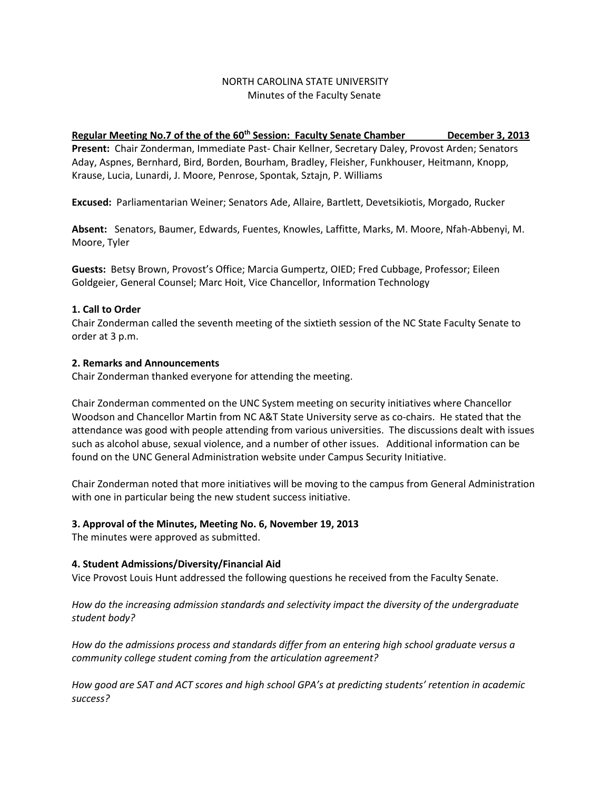# NORTH CAROLINA STATE UNIVERSITY Minutes of the Faculty Senate

# **Regular Meeting No.7 of the of the 60th Session: Faculty Senate Chamber December 3, 2013**

**Present:** Chair Zonderman, Immediate Past- Chair Kellner, Secretary Daley, Provost Arden; Senators Aday, Aspnes, Bernhard, Bird, Borden, Bourham, Bradley, Fleisher, Funkhouser, Heitmann, Knopp, Krause, Lucia, Lunardi, J. Moore, Penrose, Spontak, Sztajn, P. Williams

**Excused:** Parliamentarian Weiner; Senators Ade, Allaire, Bartlett, Devetsikiotis, Morgado, Rucker

**Absent:** Senators, Baumer, Edwards, Fuentes, Knowles, Laffitte, Marks, M. Moore, Nfah-Abbenyi, M. Moore, Tyler

**Guests:** Betsy Brown, Provost's Office; Marcia Gumpertz, OIED; Fred Cubbage, Professor; Eileen Goldgeier, General Counsel; Marc Hoit, Vice Chancellor, Information Technology

# **1. Call to Order**

Chair Zonderman called the seventh meeting of the sixtieth session of the NC State Faculty Senate to order at 3 p.m.

# **2. Remarks and Announcements**

Chair Zonderman thanked everyone for attending the meeting.

Chair Zonderman commented on the UNC System meeting on security initiatives where Chancellor Woodson and Chancellor Martin from NC A&T State University serve as co-chairs. He stated that the attendance was good with people attending from various universities. The discussions dealt with issues such as alcohol abuse, sexual violence, and a number of other issues. Additional information can be found on the UNC General Administration website under Campus Security Initiative.

Chair Zonderman noted that more initiatives will be moving to the campus from General Administration with one in particular being the new student success initiative.

# **3. Approval of the Minutes, Meeting No. 6, November 19, 2013**

The minutes were approved as submitted.

# **4. Student Admissions/Diversity/Financial Aid**

Vice Provost Louis Hunt addressed the following questions he received from the Faculty Senate.

*How do the increasing admission standards and selectivity impact the diversity of the undergraduate student body?*

*How do the admissions process and standards differ from an entering high school graduate versus a community college student coming from the articulation agreement?*

*How good are SAT and ACT scores and high school GPA's at predicting students' retention in academic success?*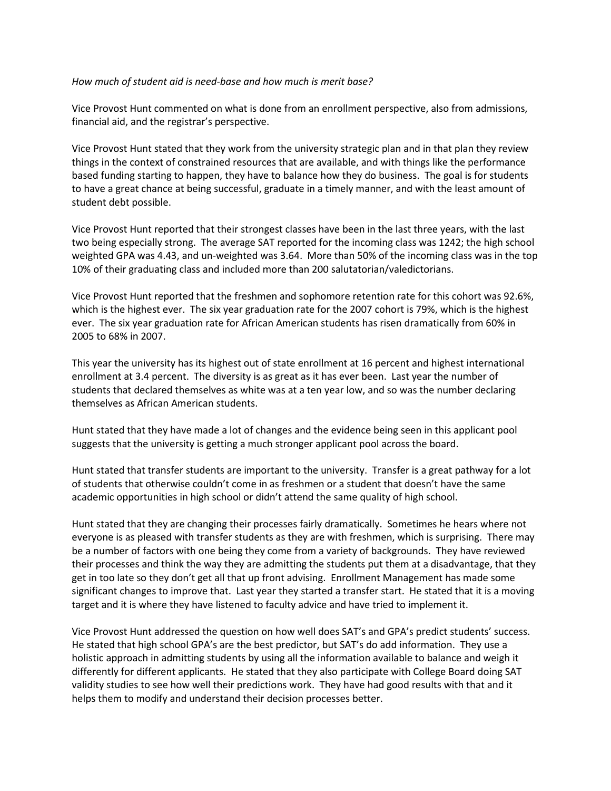### *How much of student aid is need-base and how much is merit base?*

Vice Provost Hunt commented on what is done from an enrollment perspective, also from admissions, financial aid, and the registrar's perspective.

Vice Provost Hunt stated that they work from the university strategic plan and in that plan they review things in the context of constrained resources that are available, and with things like the performance based funding starting to happen, they have to balance how they do business. The goal is for students to have a great chance at being successful, graduate in a timely manner, and with the least amount of student debt possible.

Vice Provost Hunt reported that their strongest classes have been in the last three years, with the last two being especially strong. The average SAT reported for the incoming class was 1242; the high school weighted GPA was 4.43, and un-weighted was 3.64. More than 50% of the incoming class was in the top 10% of their graduating class and included more than 200 salutatorian/valedictorians.

Vice Provost Hunt reported that the freshmen and sophomore retention rate for this cohort was 92.6%, which is the highest ever. The six year graduation rate for the 2007 cohort is 79%, which is the highest ever. The six year graduation rate for African American students has risen dramatically from 60% in 2005 to 68% in 2007.

This year the university has its highest out of state enrollment at 16 percent and highest international enrollment at 3.4 percent. The diversity is as great as it has ever been. Last year the number of students that declared themselves as white was at a ten year low, and so was the number declaring themselves as African American students.

Hunt stated that they have made a lot of changes and the evidence being seen in this applicant pool suggests that the university is getting a much stronger applicant pool across the board.

Hunt stated that transfer students are important to the university. Transfer is a great pathway for a lot of students that otherwise couldn't come in as freshmen or a student that doesn't have the same academic opportunities in high school or didn't attend the same quality of high school.

Hunt stated that they are changing their processes fairly dramatically. Sometimes he hears where not everyone is as pleased with transfer students as they are with freshmen, which is surprising. There may be a number of factors with one being they come from a variety of backgrounds. They have reviewed their processes and think the way they are admitting the students put them at a disadvantage, that they get in too late so they don't get all that up front advising. Enrollment Management has made some significant changes to improve that. Last year they started a transfer start. He stated that it is a moving target and it is where they have listened to faculty advice and have tried to implement it.

Vice Provost Hunt addressed the question on how well does SAT's and GPA's predict students' success. He stated that high school GPA's are the best predictor, but SAT's do add information. They use a holistic approach in admitting students by using all the information available to balance and weigh it differently for different applicants. He stated that they also participate with College Board doing SAT validity studies to see how well their predictions work. They have had good results with that and it helps them to modify and understand their decision processes better.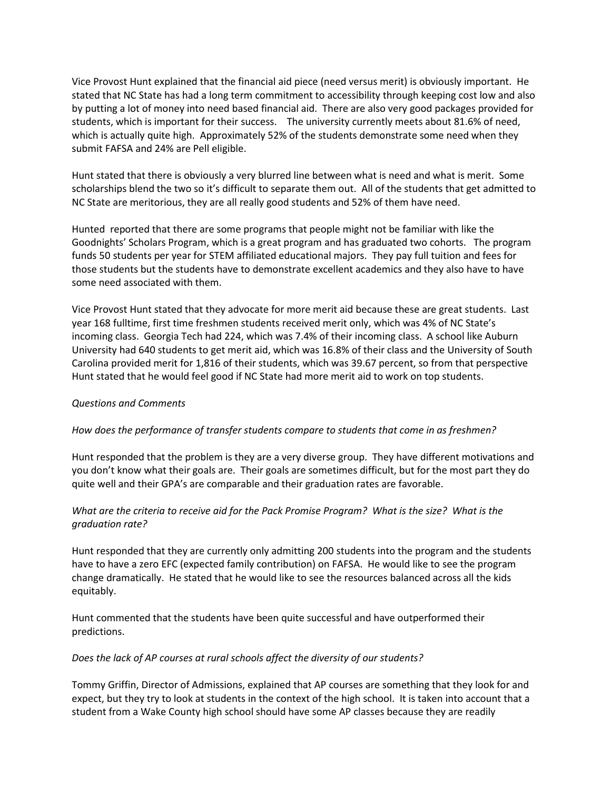Vice Provost Hunt explained that the financial aid piece (need versus merit) is obviously important. He stated that NC State has had a long term commitment to accessibility through keeping cost low and also by putting a lot of money into need based financial aid. There are also very good packages provided for students, which is important for their success. The university currently meets about 81.6% of need, which is actually quite high. Approximately 52% of the students demonstrate some need when they submit FAFSA and 24% are Pell eligible.

Hunt stated that there is obviously a very blurred line between what is need and what is merit. Some scholarships blend the two so it's difficult to separate them out. All of the students that get admitted to NC State are meritorious, they are all really good students and 52% of them have need.

Hunted reported that there are some programs that people might not be familiar with like the Goodnights' Scholars Program, which is a great program and has graduated two cohorts. The program funds 50 students per year for STEM affiliated educational majors. They pay full tuition and fees for those students but the students have to demonstrate excellent academics and they also have to have some need associated with them.

Vice Provost Hunt stated that they advocate for more merit aid because these are great students. Last year 168 fulltime, first time freshmen students received merit only, which was 4% of NC State's incoming class. Georgia Tech had 224, which was 7.4% of their incoming class. A school like Auburn University had 640 students to get merit aid, which was 16.8% of their class and the University of South Carolina provided merit for 1,816 of their students, which was 39.67 percent, so from that perspective Hunt stated that he would feel good if NC State had more merit aid to work on top students.

# *Questions and Comments*

# *How does the performance of transfer students compare to students that come in as freshmen?*

Hunt responded that the problem is they are a very diverse group. They have different motivations and you don't know what their goals are. Their goals are sometimes difficult, but for the most part they do quite well and their GPA's are comparable and their graduation rates are favorable.

# *What are the criteria to receive aid for the Pack Promise Program? What is the size? What is the graduation rate?*

Hunt responded that they are currently only admitting 200 students into the program and the students have to have a zero EFC (expected family contribution) on FAFSA. He would like to see the program change dramatically. He stated that he would like to see the resources balanced across all the kids equitably.

Hunt commented that the students have been quite successful and have outperformed their predictions.

### *Does the lack of AP courses at rural schools affect the diversity of our students?*

Tommy Griffin, Director of Admissions, explained that AP courses are something that they look for and expect, but they try to look at students in the context of the high school. It is taken into account that a student from a Wake County high school should have some AP classes because they are readily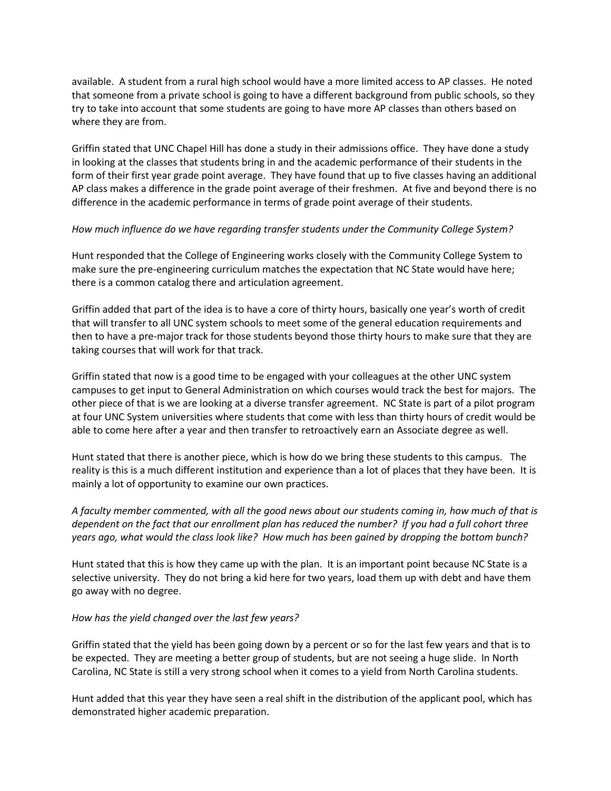available. A student from a rural high school would have a more limited access to AP classes. He noted that someone from a private school is going to have a different background from public schools, so they try to take into account that some students are going to have more AP classes than others based on where they are from.

Griffin stated that UNC Chapel Hill has done a study in their admissions office. They have done a study in looking at the classes that students bring in and the academic performance of their students in the form of their first year grade point average. They have found that up to five classes having an additional AP class makes a difference in the grade point average of their freshmen. At five and beyond there is no difference in the academic performance in terms of grade point average of their students.

### *How much influence do we have regarding transfer students under the Community College System?*

Hunt responded that the College of Engineering works closely with the Community College System to make sure the pre-engineering curriculum matches the expectation that NC State would have here; there is a common catalog there and articulation agreement.

Griffin added that part of the idea is to have a core of thirty hours, basically one year's worth of credit that will transfer to all UNC system schools to meet some of the general education requirements and then to have a pre-major track for those students beyond those thirty hours to make sure that they are taking courses that will work for that track.

Griffin stated that now is a good time to be engaged with your colleagues at the other UNC system campuses to get input to General Administration on which courses would track the best for majors. The other piece of that is we are looking at a diverse transfer agreement. NC State is part of a pilot program at four UNC System universities where students that come with less than thirty hours of credit would be able to come here after a year and then transfer to retroactively earn an Associate degree as well.

Hunt stated that there is another piece, which is how do we bring these students to this campus. The reality is this is a much different institution and experience than a lot of places that they have been. It is mainly a lot of opportunity to examine our own practices.

*A faculty member commented, with all the good news about our students coming in, how much of that is dependent on the fact that our enrollment plan has reduced the number? If you had a full cohort three years ago, what would the class look like? How much has been gained by dropping the bottom bunch?*

Hunt stated that this is how they came up with the plan. It is an important point because NC State is a selective university. They do not bring a kid here for two years, load them up with debt and have them go away with no degree.

### *How has the yield changed over the last few years?*

Griffin stated that the yield has been going down by a percent or so for the last few years and that is to be expected. They are meeting a better group of students, but are not seeing a huge slide. In North Carolina, NC State is still a very strong school when it comes to a yield from North Carolina students.

Hunt added that this year they have seen a real shift in the distribution of the applicant pool, which has demonstrated higher academic preparation.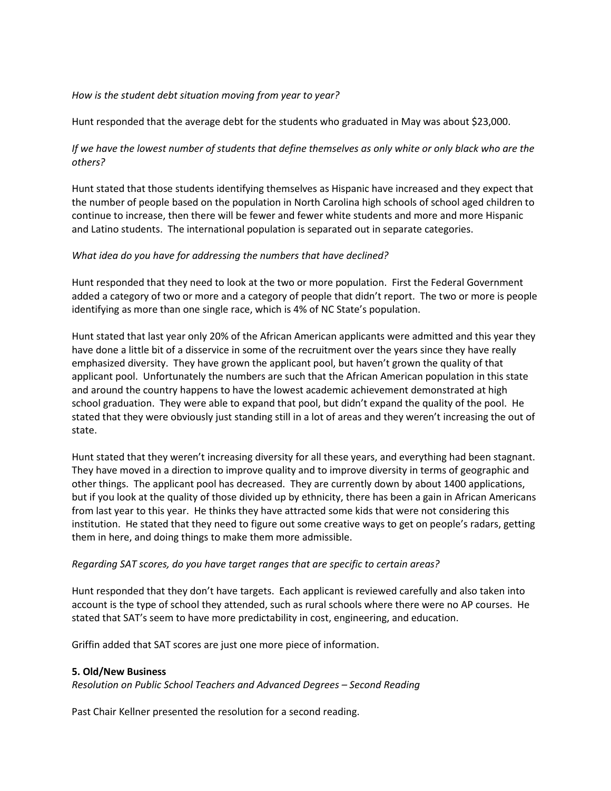### *How is the student debt situation moving from year to year?*

Hunt responded that the average debt for the students who graduated in May was about \$23,000.

# *If we have the lowest number of students that define themselves as only white or only black who are the others?*

Hunt stated that those students identifying themselves as Hispanic have increased and they expect that the number of people based on the population in North Carolina high schools of school aged children to continue to increase, then there will be fewer and fewer white students and more and more Hispanic and Latino students. The international population is separated out in separate categories.

### *What idea do you have for addressing the numbers that have declined?*

Hunt responded that they need to look at the two or more population. First the Federal Government added a category of two or more and a category of people that didn't report. The two or more is people identifying as more than one single race, which is 4% of NC State's population.

Hunt stated that last year only 20% of the African American applicants were admitted and this year they have done a little bit of a disservice in some of the recruitment over the years since they have really emphasized diversity. They have grown the applicant pool, but haven't grown the quality of that applicant pool. Unfortunately the numbers are such that the African American population in this state and around the country happens to have the lowest academic achievement demonstrated at high school graduation. They were able to expand that pool, but didn't expand the quality of the pool. He stated that they were obviously just standing still in a lot of areas and they weren't increasing the out of state.

Hunt stated that they weren't increasing diversity for all these years, and everything had been stagnant. They have moved in a direction to improve quality and to improve diversity in terms of geographic and other things. The applicant pool has decreased. They are currently down by about 1400 applications, but if you look at the quality of those divided up by ethnicity, there has been a gain in African Americans from last year to this year. He thinks they have attracted some kids that were not considering this institution. He stated that they need to figure out some creative ways to get on people's radars, getting them in here, and doing things to make them more admissible.

### *Regarding SAT scores, do you have target ranges that are specific to certain areas?*

Hunt responded that they don't have targets. Each applicant is reviewed carefully and also taken into account is the type of school they attended, such as rural schools where there were no AP courses. He stated that SAT's seem to have more predictability in cost, engineering, and education.

Griffin added that SAT scores are just one more piece of information.

### **5. Old/New Business**

*Resolution on Public School Teachers and Advanced Degrees – Second Reading*

Past Chair Kellner presented the resolution for a second reading.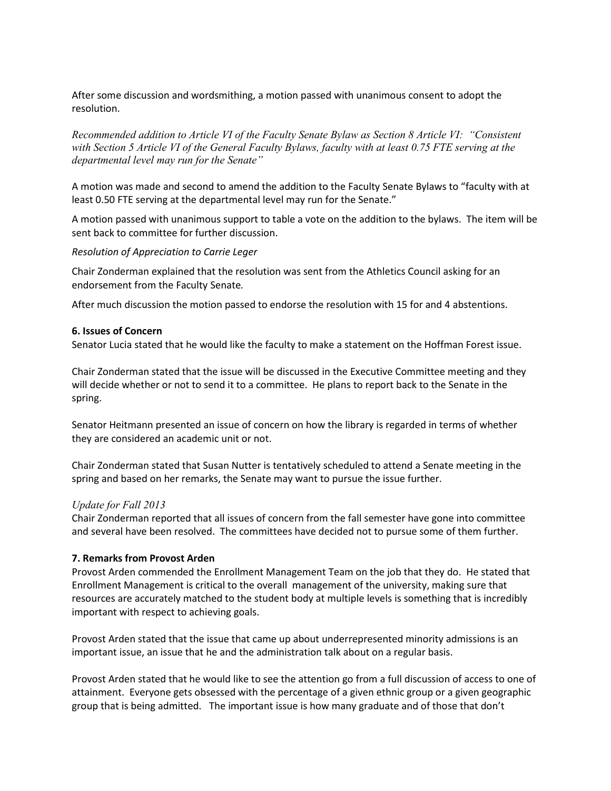After some discussion and wordsmithing, a motion passed with unanimous consent to adopt the resolution.

*Recommended addition to Article VI of the Faculty Senate Bylaw as Section 8 Article VI: "Consistent with Section 5 Article VI of the General Faculty Bylaws, faculty with at least 0.75 FTE serving at the departmental level may run for the Senate"* 

A motion was made and second to amend the addition to the Faculty Senate Bylaws to "faculty with at least 0.50 FTE serving at the departmental level may run for the Senate."

A motion passed with unanimous support to table a vote on the addition to the bylaws. The item will be sent back to committee for further discussion.

*Resolution of Appreciation to Carrie Leger*

Chair Zonderman explained that the resolution was sent from the Athletics Council asking for an endorsement from the Faculty Senate*.* 

After much discussion the motion passed to endorse the resolution with 15 for and 4 abstentions.

#### **6. Issues of Concern**

Senator Lucia stated that he would like the faculty to make a statement on the Hoffman Forest issue.

Chair Zonderman stated that the issue will be discussed in the Executive Committee meeting and they will decide whether or not to send it to a committee. He plans to report back to the Senate in the spring.

Senator Heitmann presented an issue of concern on how the library is regarded in terms of whether they are considered an academic unit or not.

Chair Zonderman stated that Susan Nutter is tentatively scheduled to attend a Senate meeting in the spring and based on her remarks, the Senate may want to pursue the issue further.

### *Update for Fall 2013*

Chair Zonderman reported that all issues of concern from the fall semester have gone into committee and several have been resolved. The committees have decided not to pursue some of them further.

### **7. Remarks from Provost Arden**

Provost Arden commended the Enrollment Management Team on the job that they do. He stated that Enrollment Management is critical to the overall management of the university, making sure that resources are accurately matched to the student body at multiple levels is something that is incredibly important with respect to achieving goals.

Provost Arden stated that the issue that came up about underrepresented minority admissions is an important issue, an issue that he and the administration talk about on a regular basis.

Provost Arden stated that he would like to see the attention go from a full discussion of access to one of attainment. Everyone gets obsessed with the percentage of a given ethnic group or a given geographic group that is being admitted. The important issue is how many graduate and of those that don't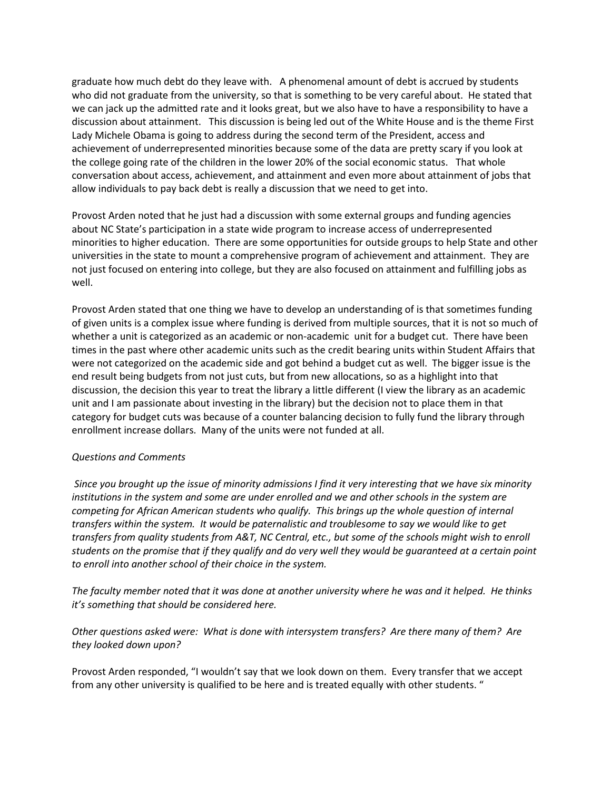graduate how much debt do they leave with. A phenomenal amount of debt is accrued by students who did not graduate from the university, so that is something to be very careful about. He stated that we can jack up the admitted rate and it looks great, but we also have to have a responsibility to have a discussion about attainment. This discussion is being led out of the White House and is the theme First Lady Michele Obama is going to address during the second term of the President, access and achievement of underrepresented minorities because some of the data are pretty scary if you look at the college going rate of the children in the lower 20% of the social economic status. That whole conversation about access, achievement, and attainment and even more about attainment of jobs that allow individuals to pay back debt is really a discussion that we need to get into.

Provost Arden noted that he just had a discussion with some external groups and funding agencies about NC State's participation in a state wide program to increase access of underrepresented minorities to higher education. There are some opportunities for outside groups to help State and other universities in the state to mount a comprehensive program of achievement and attainment. They are not just focused on entering into college, but they are also focused on attainment and fulfilling jobs as well.

Provost Arden stated that one thing we have to develop an understanding of is that sometimes funding of given units is a complex issue where funding is derived from multiple sources, that it is not so much of whether a unit is categorized as an academic or non-academic unit for a budget cut. There have been times in the past where other academic units such as the credit bearing units within Student Affairs that were not categorized on the academic side and got behind a budget cut as well. The bigger issue is the end result being budgets from not just cuts, but from new allocations, so as a highlight into that discussion, the decision this year to treat the library a little different (I view the library as an academic unit and I am passionate about investing in the library) but the decision not to place them in that category for budget cuts was because of a counter balancing decision to fully fund the library through enrollment increase dollars. Many of the units were not funded at all.

# *Questions and Comments*

*Since you brought up the issue of minority admissions I find it very interesting that we have six minority institutions in the system and some are under enrolled and we and other schools in the system are competing for African American students who qualify. This brings up the whole question of internal transfers within the system. It would be paternalistic and troublesome to say we would like to get transfers from quality students from A&T, NC Central, etc., but some of the schools might wish to enroll students on the promise that if they qualify and do very well they would be guaranteed at a certain point to enroll into another school of their choice in the system.* 

*The faculty member noted that it was done at another university where he was and it helped. He thinks it's something that should be considered here.* 

*Other questions asked were: What is done with intersystem transfers? Are there many of them? Are they looked down upon?* 

Provost Arden responded, "I wouldn't say that we look down on them. Every transfer that we accept from any other university is qualified to be here and is treated equally with other students. "